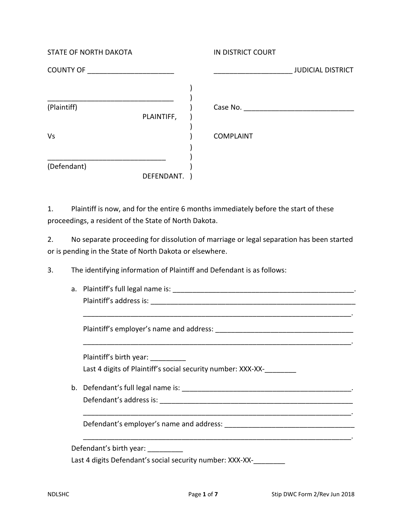| <b>STATE OF NORTH DAKOTA</b> |            | IN DISTRICT COURT  |                          |
|------------------------------|------------|--------------------|--------------------------|
| <b>COUNTY OF</b>             |            |                    | <b>JUDICIAL DISTRICT</b> |
|                              |            |                    |                          |
| (Plaintiff)                  |            | Case No. 2008 2014 |                          |
|                              | PLAINTIFF, |                    |                          |
| Vs                           |            | <b>COMPLAINT</b>   |                          |
|                              |            |                    |                          |
| (Defendant)                  |            |                    |                          |
|                              | DEFENDANT. |                    |                          |

1. Plaintiff is now, and for the entire 6 months immediately before the start of these proceedings, a resident of the State of North Dakota.

2. No separate proceeding for dissolution of marriage or legal separation has been started or is pending in the State of North Dakota or elsewhere.

3. The identifying information of Plaintiff and Defendant is as follows:

| a. Plaintiff's full legal name is: |  |
|------------------------------------|--|
| Plaintiff's address is:            |  |

\_\_\_\_\_\_\_\_\_\_\_\_\_\_\_\_\_\_\_\_\_\_\_\_\_\_\_\_\_\_\_\_\_\_\_\_\_\_\_\_\_\_\_\_\_\_\_\_\_\_\_\_\_\_\_\_\_\_\_\_\_\_\_\_\_\_\_\_.

\_\_\_\_\_\_\_\_\_\_\_\_\_\_\_\_\_\_\_\_\_\_\_\_\_\_\_\_\_\_\_\_\_\_\_\_\_\_\_\_\_\_\_\_\_\_\_\_\_\_\_\_\_\_\_\_\_\_\_\_\_\_\_\_\_\_\_\_.

Plaintiff's employer's name and address: \_\_\_\_\_\_\_\_\_\_\_\_\_\_\_\_\_\_\_\_\_\_\_\_\_\_\_\_\_\_\_\_\_\_\_

Plaintiff's birth year: \_\_\_\_\_\_\_\_\_ Last 4 digits of Plaintiff's social security number: XXX-XX-\_\_\_\_\_\_\_\_\_

b. Defendant's full legal name is: \_\_\_\_\_\_\_\_\_\_\_\_\_\_\_\_\_\_\_\_\_\_\_\_\_\_\_\_\_\_\_\_\_\_\_\_\_\_\_\_\_\_\_. Defendant's address is: **with a strategies of the strategies** of the strategies of the strategies of the strategies

\_\_\_\_\_\_\_\_\_\_\_\_\_\_\_\_\_\_\_\_\_\_\_\_\_\_\_\_\_\_\_\_\_\_\_\_\_\_\_\_\_\_\_\_\_\_\_\_\_\_\_\_\_\_\_\_\_\_\_\_\_\_\_\_\_\_\_\_.

Defendant's employer's name and address: \_\_\_\_\_\_\_\_\_\_\_\_\_\_\_\_\_\_\_\_\_\_\_\_\_\_\_\_\_\_\_\_\_

Defendant's birth year: \_\_\_\_\_\_\_\_\_

Last 4 digits Defendant's social security number: XXX-XX-\_\_\_\_\_\_\_\_

\_\_\_\_\_\_\_\_\_\_\_\_\_\_\_\_\_\_\_\_\_\_\_\_\_\_\_\_\_\_\_\_\_\_\_\_\_\_\_\_\_\_\_\_\_\_\_\_\_\_\_\_\_\_\_\_\_\_\_\_\_\_\_\_\_\_\_\_.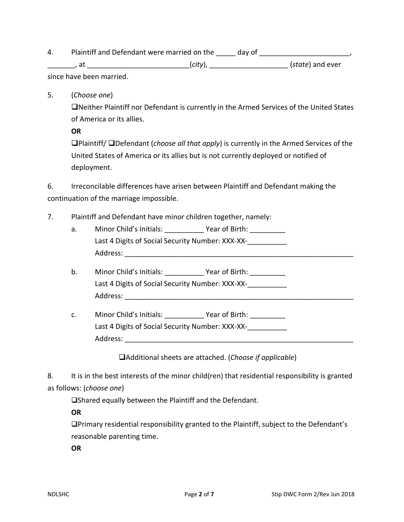4. Plaintiff and Defendant were married on the \_\_\_\_\_ day of \_\_\_\_\_\_\_\_\_\_\_\_\_\_\_\_\_\_\_\_,

\_\_\_\_\_\_\_, at \_\_\_\_\_\_\_\_\_\_\_\_\_\_\_\_\_\_\_\_\_\_\_\_\_\_(*city*), \_\_\_\_\_\_\_\_\_\_\_\_\_\_\_\_\_\_\_\_ (*state*) and ever since have been married.

5. (*Choose one*)

Neither Plaintiff nor Defendant is currently in the Armed Services of the United States of America or its allies.

**OR**

Plaintiff/ Defendant (*choose all that apply*) is currently in the Armed Services of the United States of America or its allies but is not currently deployed or notified of deployment.

6. Irreconcilable differences have arisen between Plaintiff and Defendant making the continuation of the marriage impossible.

- 7. Plaintiff and Defendant have minor children together, namely:
	- a. Minor Child's Initials: The State of Birth: Last 4 Digits of Social Security Number: XXX-XX-Address: \_\_\_\_\_\_\_\_\_\_\_\_\_\_\_\_\_\_\_\_\_\_\_\_\_\_\_\_\_\_\_\_\_\_\_\_\_\_\_\_\_\_\_\_\_\_\_\_\_\_\_\_\_\_\_\_\_\_
	- b. Minor Child's Initials: The Year of Birth: Last 4 Digits of Social Security Number: XXX-XX-Address: \_\_\_\_\_\_\_\_\_\_\_\_\_\_\_\_\_\_\_\_\_\_\_\_\_\_\_\_\_\_\_\_\_\_\_\_\_\_\_\_\_\_\_\_\_\_\_\_\_\_\_\_\_\_\_\_\_\_
	- c. Minor Child's Initials: \_\_\_\_\_\_\_\_\_\_ Year of Birth: \_\_\_\_\_\_\_\_\_ Last 4 Digits of Social Security Number: XXX-XX-Address: \_\_\_\_\_\_\_\_\_\_\_\_\_\_\_\_\_\_\_\_\_\_\_\_\_\_\_\_\_\_\_\_\_\_\_\_\_\_\_\_\_\_\_\_\_\_\_\_\_\_\_\_\_\_\_\_\_\_

Additional sheets are attached. (*Choose if applicable*)

8. It is in the best interests of the minor child(ren) that residential responsibility is granted as follows: (*choose one*)

Shared equally between the Plaintiff and the Defendant.

**OR**

Primary residential responsibility granted to the Plaintiff, subject to the Defendant's reasonable parenting time.

**OR**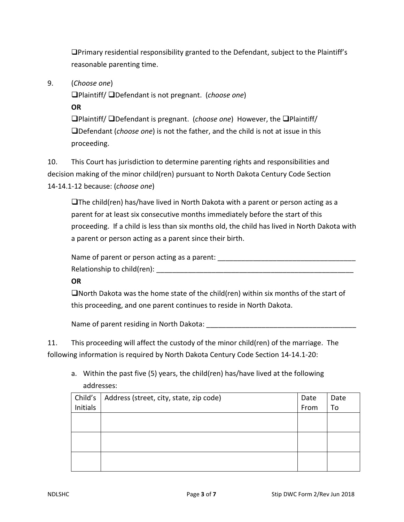Primary residential responsibility granted to the Defendant, subject to the Plaintiff's reasonable parenting time.

9. (*Choose one*)

Plaintiff/ Defendant is not pregnant. (*choose one*)

**OR**

Plaintiff/ Defendant is pregnant. (*choose one*) However, the Plaintiff/ Defendant (*choose one*) is not the father, and the child is not at issue in this proceeding.

10. This Court has jurisdiction to determine parenting rights and responsibilities and decision making of the minor child(ren) pursuant to North Dakota Century Code Section 14-14.1-12 because: (*choose one*)

 $\Box$ The child(ren) has/have lived in North Dakota with a parent or person acting as a parent for at least six consecutive months immediately before the start of this proceeding. If a child is less than six months old, the child has lived in North Dakota with a parent or person acting as a parent since their birth.

Name of parent or person acting as a parent: Relationship to child(ren):  $\Box$ 

# **OR**

 $\Box$  North Dakota was the home state of the child(ren) within six months of the start of this proceeding, and one parent continues to reside in North Dakota.

Name of parent residing in North Dakota: \_\_\_\_\_\_\_\_\_\_\_\_\_\_\_\_\_\_\_\_\_\_\_\_\_\_\_\_\_\_\_\_\_\_\_\_\_\_

11. This proceeding will affect the custody of the minor child(ren) of the marriage. The following information is required by North Dakota Century Code Section 14-14.1-20:

a. Within the past five (5) years, the child(ren) has/have lived at the following addresses:

| Child's  | Address (street, city, state, zip code) | Date | Date |
|----------|-----------------------------------------|------|------|
| Initials |                                         | From | To   |
|          |                                         |      |      |
|          |                                         |      |      |
|          |                                         |      |      |
|          |                                         |      |      |
|          |                                         |      |      |
|          |                                         |      |      |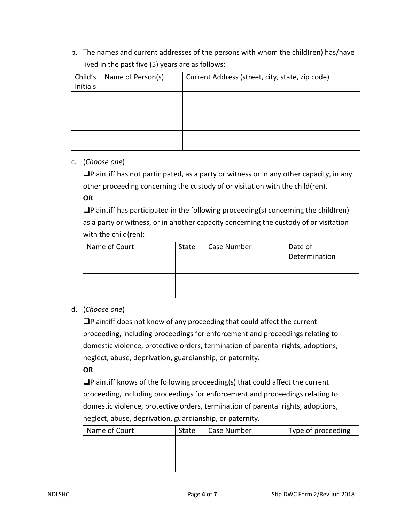b. The names and current addresses of the persons with whom the child(ren) has/have lived in the past five (5) years are as follows:

| Child's         | Name of Person(s) | Current Address (street, city, state, zip code) |
|-----------------|-------------------|-------------------------------------------------|
| <b>Initials</b> |                   |                                                 |
|                 |                   |                                                 |
|                 |                   |                                                 |
|                 |                   |                                                 |
|                 |                   |                                                 |
|                 |                   |                                                 |
|                 |                   |                                                 |

### c. (*Choose one*)

 $\Box$ Plaintiff has not participated, as a party or witness or in any other capacity, in any other proceeding concerning the custody of or visitation with the child(ren).

#### **OR**

 $\Box$ Plaintiff has participated in the following proceeding(s) concerning the child(ren) as a party or witness, or in another capacity concerning the custody of or visitation with the child(ren):

| Name of Court | State | Case Number | Date of       |
|---------------|-------|-------------|---------------|
|               |       |             | Determination |
|               |       |             |               |
|               |       |             |               |
|               |       |             |               |

# d. (*Choose one*)

Plaintiff does not know of any proceeding that could affect the current proceeding, including proceedings for enforcement and proceedings relating to domestic violence, protective orders, termination of parental rights, adoptions, neglect, abuse, deprivation, guardianship, or paternity.

#### **OR**

Plaintiff knows of the following proceeding(s) that could affect the current proceeding, including proceedings for enforcement and proceedings relating to domestic violence, protective orders, termination of parental rights, adoptions, neglect, abuse, deprivation, guardianship, or paternity.

| Name of Court | State | Case Number | Type of proceeding |
|---------------|-------|-------------|--------------------|
|               |       |             |                    |
|               |       |             |                    |
|               |       |             |                    |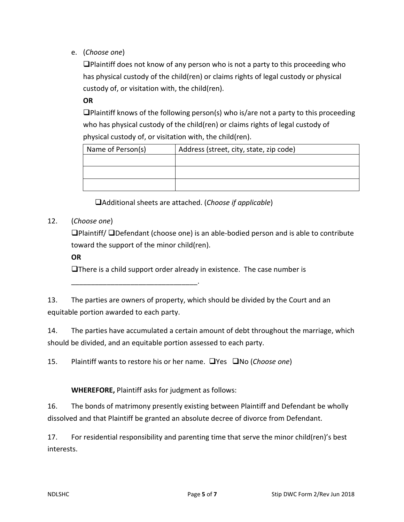e. (*Choose one*)

Plaintiff does not know of any person who is not a party to this proceeding who has physical custody of the child(ren) or claims rights of legal custody or physical custody of, or visitation with, the child(ren).

**OR**

 $\Box$ Plaintiff knows of the following person(s) who is/are not a party to this proceeding who has physical custody of the child(ren) or claims rights of legal custody of physical custody of, or visitation with, the child(ren).

| Name of Person(s) | Address (street, city, state, zip code) |
|-------------------|-----------------------------------------|
|                   |                                         |
|                   |                                         |
|                   |                                         |

Additional sheets are attached. (*Choose if applicable*)

12. (*Choose one*)

Plaintiff/ Defendant (choose one) is an able-bodied person and is able to contribute toward the support of the minor child(ren).

**OR**

 $\Box$  There is a child support order already in existence. The case number is

13. The parties are owners of property, which should be divided by the Court and an equitable portion awarded to each party.

14. The parties have accumulated a certain amount of debt throughout the marriage, which should be divided, and an equitable portion assessed to each party.

15. Plaintiff wants to restore his or her name. **No Sourch Choose one**)

# **WHEREFORE,** Plaintiff asks for judgment as follows:

\_\_\_\_\_\_\_\_\_\_\_\_\_\_\_\_\_\_\_\_\_\_\_\_\_\_\_\_\_\_\_\_.

16. The bonds of matrimony presently existing between Plaintiff and Defendant be wholly dissolved and that Plaintiff be granted an absolute decree of divorce from Defendant.

17. For residential responsibility and parenting time that serve the minor child(ren)'s best interests.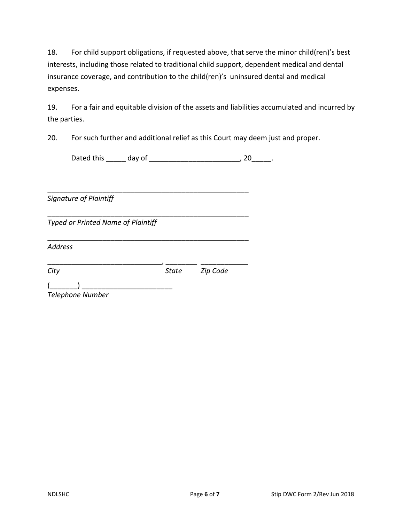18. For child support obligations, if requested above, that serve the minor child(ren)'s best interests, including those related to traditional child support, dependent medical and dental insurance coverage, and contribution to the child(ren)'s uninsured dental and medical expenses.

19. For a fair and equitable division of the assets and liabilities accumulated and incurred by the parties.

20. For such further and additional relief as this Court may deem just and proper.

Dated this \_\_\_\_\_\_ day of \_\_\_\_\_\_\_\_\_\_\_\_\_\_\_\_\_\_\_\_\_\_\_\_\_\_\_\_, 20\_\_\_\_\_\_.

*Signature of Plaintiff*

*Typed or Printed Name of Plaintiff*

*Address*

\_\_\_\_\_\_\_\_\_\_\_\_\_\_\_\_\_\_\_\_\_\_\_\_\_\_\_\_\_, \_\_\_\_\_\_\_\_ \_\_\_\_\_\_\_\_\_\_\_\_ *City State Zip Code*

\_\_\_\_\_\_\_\_\_\_\_\_\_\_\_\_\_\_\_\_\_\_\_\_\_\_\_\_\_\_\_\_\_\_\_\_\_\_\_\_\_\_\_\_\_\_\_\_\_\_\_

\_\_\_\_\_\_\_\_\_\_\_\_\_\_\_\_\_\_\_\_\_\_\_\_\_\_\_\_\_\_\_\_\_\_\_\_\_\_\_\_\_\_\_\_\_\_\_\_\_\_\_

\_\_\_\_\_\_\_\_\_\_\_\_\_\_\_\_\_\_\_\_\_\_\_\_\_\_\_\_\_\_\_\_\_\_\_\_\_\_\_\_\_\_\_\_\_\_\_\_\_\_\_

 $\overline{a}$   $\overline{a}$   $\overline{a}$   $\overline{a}$   $\overline{a}$   $\overline{a}$   $\overline{a}$   $\overline{a}$   $\overline{a}$   $\overline{a}$   $\overline{a}$   $\overline{a}$   $\overline{a}$   $\overline{a}$   $\overline{a}$   $\overline{a}$   $\overline{a}$   $\overline{a}$   $\overline{a}$   $\overline{a}$   $\overline{a}$   $\overline{a}$   $\overline{a}$   $\overline{a}$   $\overline{$ *Telephone Number*